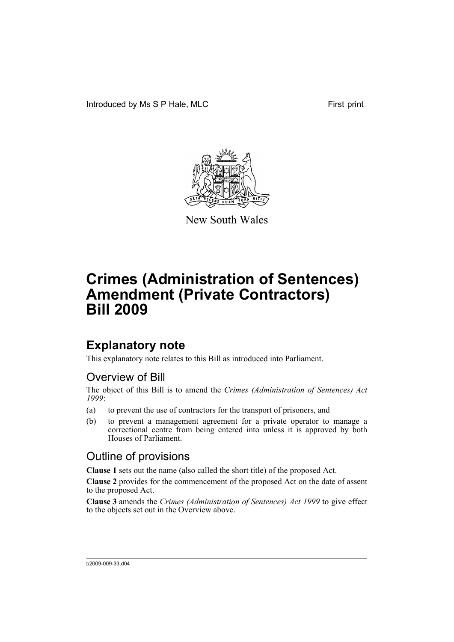

New South Wales

# **Crimes (Administration of Sentences) Amendment (Private Contractors) Bill 2009**

## **Explanatory note**

This explanatory note relates to this Bill as introduced into Parliament.

#### Overview of Bill

The object of this Bill is to amend the *Crimes (Administration of Sentences) Act 1999*:

- (a) to prevent the use of contractors for the transport of prisoners, and
- (b) to prevent a management agreement for a private operator to manage a correctional centre from being entered into unless it is approved by both Houses of Parliament.

#### Outline of provisions

**Clause 1** sets out the name (also called the short title) of the proposed Act.

**Clause 2** provides for the commencement of the proposed Act on the date of assent to the proposed Act.

**Clause 3** amends the *Crimes (Administration of Sentences) Act 1999* to give effect to the objects set out in the Overview above.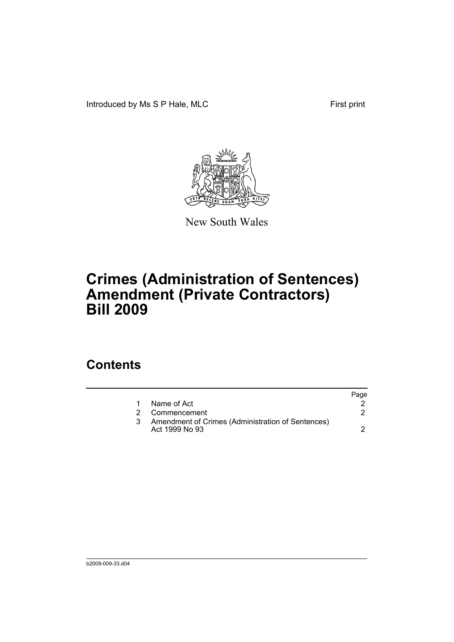Introduced by Ms S P Hale, MLC First print



New South Wales

# **Crimes (Administration of Sentences) Amendment (Private Contractors) Bill 2009**

### **Contents**

|                                                                     | Page |
|---------------------------------------------------------------------|------|
| Name of Act                                                         |      |
| 2 Commencement                                                      |      |
| Amendment of Crimes (Administration of Sentences)<br>Act 1999 No 93 |      |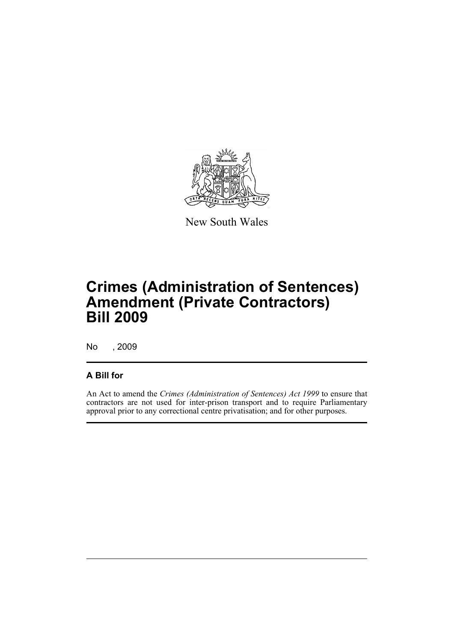

New South Wales

# **Crimes (Administration of Sentences) Amendment (Private Contractors) Bill 2009**

No , 2009

#### **A Bill for**

An Act to amend the *Crimes (Administration of Sentences) Act 1999* to ensure that contractors are not used for inter-prison transport and to require Parliamentary approval prior to any correctional centre privatisation; and for other purposes.